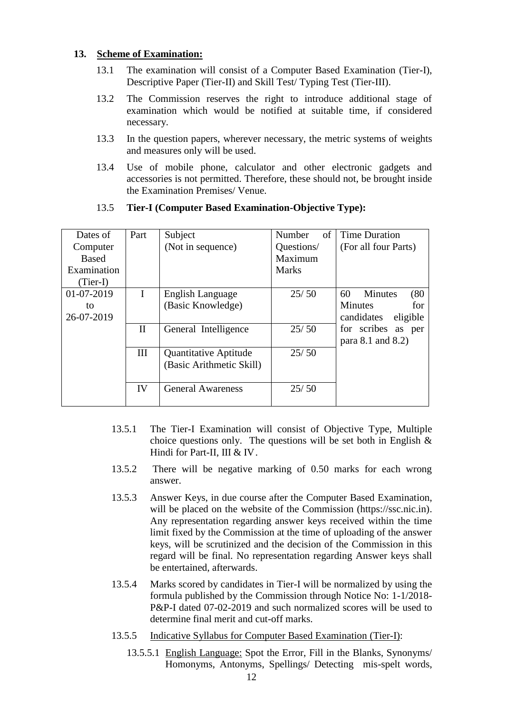# **13. Scheme of Examination:**

- 13.1 The examination will consist of a Computer Based Examination (Tier-I), Descriptive Paper (Tier-II) and Skill Test/ Typing Test (Tier-III).
- 13.2 The Commission reserves the right to introduce additional stage of examination which would be notified at suitable time, if considered necessary.
- 13.3 In the question papers, wherever necessary, the metric systems of weights and measures only will be used.
- 13.4 Use of mobile phone, calculator and other electronic gadgets and accessories is not permitted. Therefore, these should not, be brought inside the Examination Premises/ Venue.

| Dates of     | Part        | Subject                  | of<br>Number | <b>Time Duration</b>         |
|--------------|-------------|--------------------------|--------------|------------------------------|
| Computer     |             | (Not in sequence)        | Questions/   | (For all four Parts)         |
| <b>Based</b> |             |                          | Maximum      |                              |
| Examination  |             |                          | <b>Marks</b> |                              |
| $(Tier-I)$   |             |                          |              |                              |
| 01-07-2019   | I           | English Language         | 25/50        | 60<br><b>Minutes</b><br>(80) |
| to           |             | (Basic Knowledge)        |              | <b>Minutes</b><br>for.       |
| 26-07-2019   |             |                          |              | eligible<br>candidates       |
|              | $_{\rm II}$ | General Intelligence     | 25/50        | for scribes as per           |
|              |             |                          |              | para 8.1 and 8.2)            |
|              | Ш           | Quantitative Aptitude    | 25/50        |                              |
|              |             | (Basic Arithmetic Skill) |              |                              |
|              |             |                          |              |                              |
|              | IV          | <b>General Awareness</b> | 25/50        |                              |
|              |             |                          |              |                              |

# 13.5 **Tier-I (Computer Based Examination-Objective Type):**

- 13.5.1 The Tier-I Examination will consist of Objective Type, Multiple choice questions only. The questions will be set both in English  $\&$ Hindi for Part-II, III & IV.
- 13.5.2 There will be negative marking of 0.50 marks for each wrong answer.
- 13.5.3 Answer Keys, in due course after the Computer Based Examination, will be placed on the website of the Commission (https://ssc.nic.in). Any representation regarding answer keys received within the time limit fixed by the Commission at the time of uploading of the answer keys, will be scrutinized and the decision of the Commission in this regard will be final. No representation regarding Answer keys shall be entertained, afterwards.
- 13.5.4 Marks scored by candidates in Tier-I will be normalized by using the formula published by the Commission through Notice No: 1-1/2018- P&P-I dated 07-02-2019 and such normalized scores will be used to determine final merit and cut-off marks.
- 13.5.5 Indicative Syllabus for Computer Based Examination (Tier-I):
	- 13.5.5.1 English Language: Spot the Error, Fill in the Blanks, Synonyms/ Homonyms, Antonyms, Spellings/ Detecting mis-spelt words,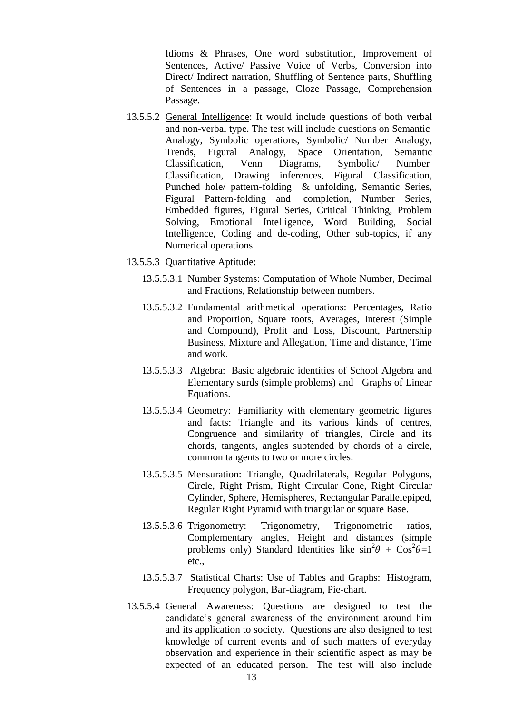Idioms & Phrases, One word substitution, Improvement of Sentences, Active/ Passive Voice of Verbs, Conversion into Direct/ Indirect narration, Shuffling of Sentence parts, Shuffling of Sentences in a passage, Cloze Passage, Comprehension Passage.

- 13.5.5.2 General Intelligence: It would include questions of both verbal and non-verbal type. The test will include questions on Semantic Analogy, Symbolic operations, Symbolic/ Number Analogy, Trends, Figural Analogy, Space Orientation, Semantic Classification, Venn Diagrams, Symbolic/ Number Classification, Drawing inferences, Figural Classification, Punched hole/ pattern-folding & unfolding, Semantic Series, Figural Pattern-folding and completion, Number Series, Embedded figures, Figural Series, Critical Thinking, Problem Solving, Emotional Intelligence, Word Building, Social Intelligence, Coding and de-coding, Other sub-topics, if any Numerical operations.
- 13.5.5.3 Quantitative Aptitude:
	- 13.5.5.3.1 Number Systems: Computation of Whole Number, Decimal and Fractions, Relationship between numbers.
	- 13.5.5.3.2 Fundamental arithmetical operations: Percentages, Ratio and Proportion, Square roots, Averages, Interest (Simple and Compound), Profit and Loss, Discount, Partnership Business, Mixture and Allegation, Time and distance, Time and work.
	- 13.5.5.3.3 Algebra: Basic algebraic identities of School Algebra and Elementary surds (simple problems) and Graphs of Linear Equations.
	- 13.5.5.3.4 Geometry: Familiarity with elementary geometric figures and facts: Triangle and its various kinds of centres, Congruence and similarity of triangles, Circle and its chords, tangents, angles subtended by chords of a circle, common tangents to two or more circles.
	- 13.5.5.3.5 Mensuration: Triangle, Quadrilaterals, Regular Polygons, Circle, Right Prism, Right Circular Cone, Right Circular Cylinder, Sphere, Hemispheres, Rectangular Parallelepiped, Regular Right Pyramid with triangular or square Base.
	- 13.5.5.3.6 Trigonometry: Trigonometry, Trigonometric ratios, Complementary angles, Height and distances (simple problems only) Standard Identities like  $\sin^2\theta + \cos^2\theta = 1$ etc.,
	- 13.5.5.3.7 Statistical Charts: Use of Tables and Graphs: Histogram, Frequency polygon, Bar-diagram, Pie-chart.
- 13.5.5.4 General Awareness: Questions are designed to test the candidate's general awareness of the environment around him and its application to society. Questions are also designed to test knowledge of current events and of such matters of everyday observation and experience in their scientific aspect as may be expected of an educated person. The test will also include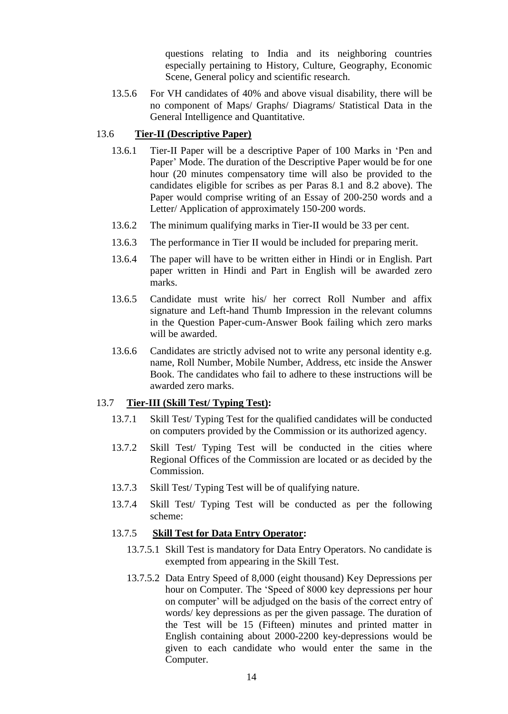questions relating to India and its neighboring countries especially pertaining to History, Culture, Geography, Economic Scene, General policy and scientific research.

13.5.6 For VH candidates of 40% and above visual disability, there will be no component of Maps/ Graphs/ Diagrams/ Statistical Data in the General Intelligence and Quantitative.

# 13.6 **Tier-II (Descriptive Paper)**

- 13.6.1 Tier-II Paper will be a descriptive Paper of 100 Marks in "Pen and Paper" Mode. The duration of the Descriptive Paper would be for one hour (20 minutes compensatory time will also be provided to the candidates eligible for scribes as per Paras 8.1 and 8.2 above). The Paper would comprise writing of an Essay of 200-250 words and a Letter/ Application of approximately 150-200 words.
- 13.6.2 The minimum qualifying marks in Tier-II would be 33 per cent.
- 13.6.3 The performance in Tier II would be included for preparing merit.
- 13.6.4 The paper will have to be written either in Hindi or in English. Part paper written in Hindi and Part in English will be awarded zero marks.
- 13.6.5 Candidate must write his/ her correct Roll Number and affix signature and Left-hand Thumb Impression in the relevant columns in the Question Paper-cum-Answer Book failing which zero marks will be awarded.
- 13.6.6 Candidates are strictly advised not to write any personal identity e.g. name, Roll Number, Mobile Number, Address, etc inside the Answer Book. The candidates who fail to adhere to these instructions will be awarded zero marks.

### 13.7 **Tier-III (Skill Test/ Typing Test):**

- 13.7.1 Skill Test/ Typing Test for the qualified candidates will be conducted on computers provided by the Commission or its authorized agency.
- 13.7.2 Skill Test/ Typing Test will be conducted in the cities where Regional Offices of the Commission are located or as decided by the Commission.
- 13.7.3 Skill Test/ Typing Test will be of qualifying nature.
- 13.7.4 Skill Test/ Typing Test will be conducted as per the following scheme:

## 13.7.5 **Skill Test for Data Entry Operator:**

- 13.7.5.1 Skill Test is mandatory for Data Entry Operators. No candidate is exempted from appearing in the Skill Test.
- 13.7.5.2 Data Entry Speed of 8,000 (eight thousand) Key Depressions per hour on Computer. The "Speed of 8000 key depressions per hour on computer" will be adjudged on the basis of the correct entry of words/ key depressions as per the given passage. The duration of the Test will be 15 (Fifteen) minutes and printed matter in English containing about 2000-2200 key-depressions would be given to each candidate who would enter the same in the Computer.